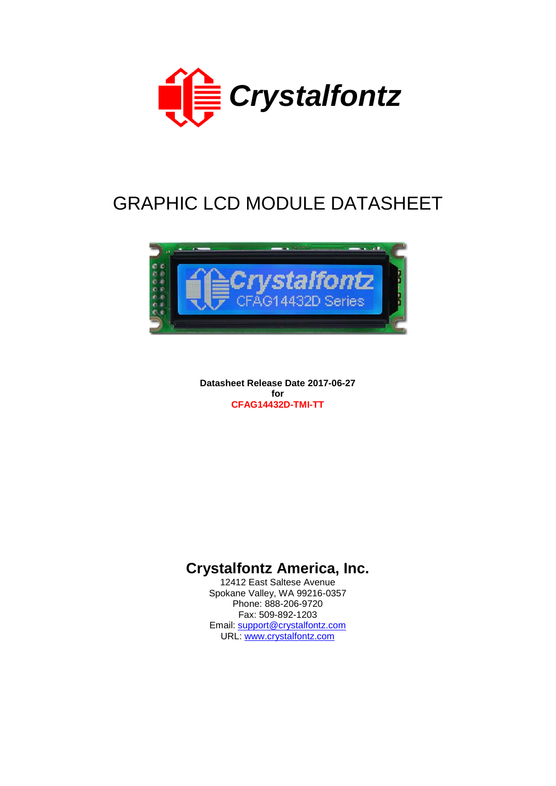

# GRAPHIC LCD MODULE DATASHEET



**Datasheet Release Date 2017-06-27 for CFAG14432D-TMI-TT**

# **Crystalfontz America, Inc.**

12412 East Saltese Avenue Spokane Valley, WA 99216-0357 Phone: 888-206-9720 Fax: 509-892-1203 Email: [support@crystalfontz.com](mailto:support@crystalfontz.com) URL: [www.crystalfontz.com](http://www.crystalfontz.com/)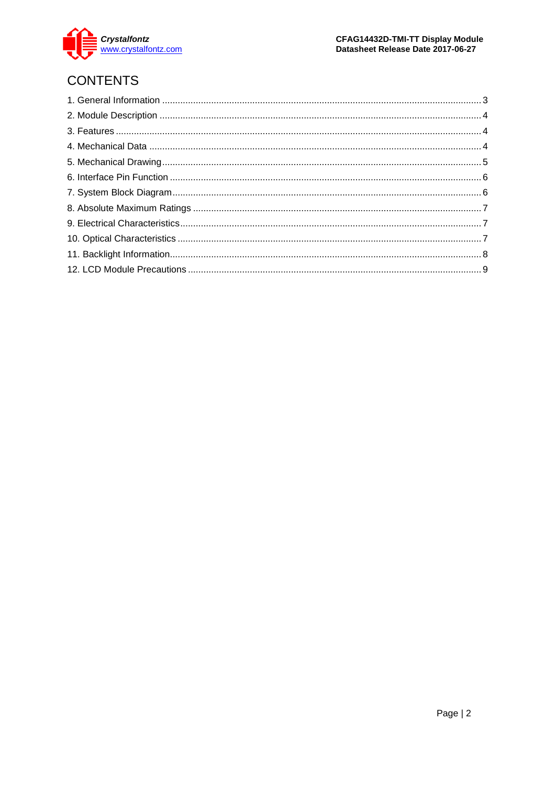

# **CONTENTS**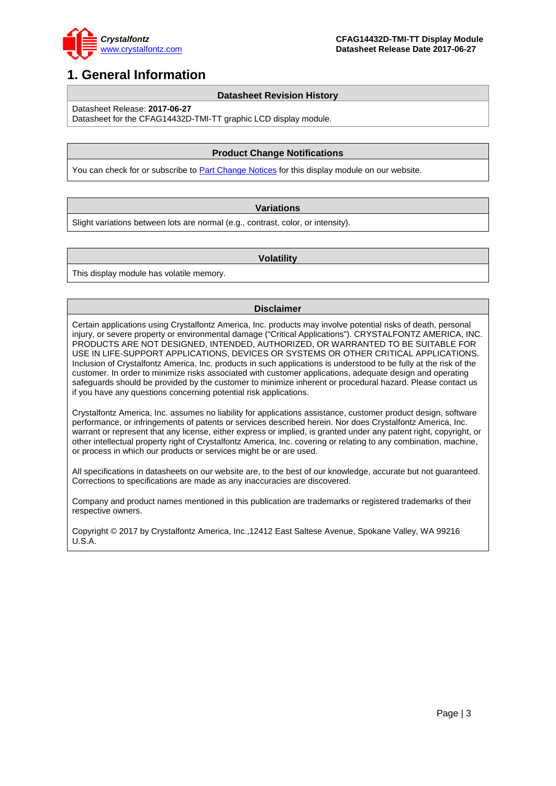

### <span id="page-2-0"></span>**1. General Information**

#### **Datasheet Revision History**

Datasheet Release: **2017-06-27**

Datasheet for the CFAG14432D-TMI-TT graphic LCD display module.

### **Product Change Notifications**

You can check for or subscribe to **Part Change Notices** for this display module on our website.

#### **Variations**

Slight variations between lots are normal (e.g., contrast, color, or intensity).

#### **Volatility**

This display module has volatile memory.

#### **Disclaimer**

Certain applications using Crystalfontz America, Inc. products may involve potential risks of death, personal injury, or severe property or environmental damage ("Critical Applications"). CRYSTALFONTZ AMERICA, INC. PRODUCTS ARE NOT DESIGNED, INTENDED, AUTHORIZED, OR WARRANTED TO BE SUITABLE FOR USE IN LIFE-SUPPORT APPLICATIONS, DEVICES OR SYSTEMS OR OTHER CRITICAL APPLICATIONS. Inclusion of Crystalfontz America, Inc. products in such applications is understood to be fully at the risk of the customer. In order to minimize risks associated with customer applications, adequate design and operating safeguards should be provided by the customer to minimize inherent or procedural hazard. Please contact us if you have any questions concerning potential risk applications.

Crystalfontz America, Inc. assumes no liability for applications assistance, customer product design, software performance, or infringements of patents or services described herein. Nor does Crystalfontz America, Inc. warrant or represent that any license, either express or implied, is granted under any patent right, copyright, or other intellectual property right of Crystalfontz America, Inc. covering or relating to any combination, machine, or process in which our products or services might be or are used.

All specifications in datasheets on our website are, to the best of our knowledge, accurate but not guaranteed. Corrections to specifications are made as any inaccuracies are discovered.

Company and product names mentioned in this publication are trademarks or registered trademarks of their respective owners.

Copyright © 2017 by Crystalfontz America, Inc.,12412 East Saltese Avenue, Spokane Valley, WA 99216 U.S.A.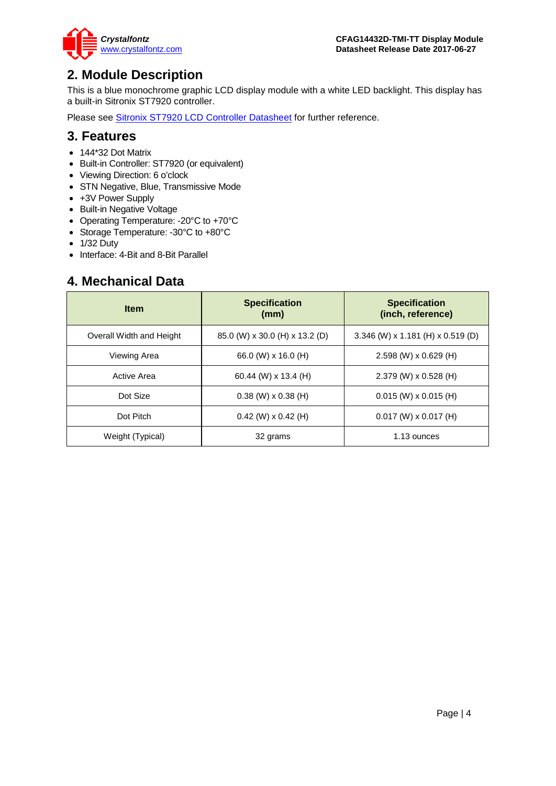

### <span id="page-3-0"></span>**2. Module Description**

This is a blue monochrome graphic LCD display module with a white LED backlight. This display has a built-in Sitronix ST7920 controller.

Please see **Sitronix ST7920 LCD Controller Datasheet** for further reference.

### <span id="page-3-1"></span>**3. Features**

- 144\*32 Dot Matrix
- Built-in Controller: ST7920 (or equivalent)
- Viewing Direction: 6 o'clock
- STN Negative, Blue, Transmissive Mode
- +3V Power Supply
- Built-in Negative Voltage
- Operating Temperature: -20°C to +70°C
- Storage Temperature: -30°C to +80°C
- 1/32 Duty
- Interface: 4-Bit and 8-Bit Parallel

### <span id="page-3-2"></span>**4. Mechanical Data**

| <b>Item</b>              | <b>Specification</b><br>(mm)   | <b>Specification</b><br>(inch, reference) |  |  |
|--------------------------|--------------------------------|-------------------------------------------|--|--|
| Overall Width and Height | 85.0 (W) x 30.0 (H) x 13.2 (D) | 3.346 (W) x 1.181 (H) x 0.519 (D)         |  |  |
| Viewing Area             | 66.0 (W) x 16.0 (H)            | $2.598$ (W) x 0.629 (H)                   |  |  |
| Active Area              | 60.44 (W) $\times$ 13.4 (H)    | 2.379 (W) x 0.528 (H)                     |  |  |
| Dot Size                 | $0.38$ (W) $\times$ 0.38 (H)   | $0.015$ (W) x 0.015 (H)                   |  |  |
| Dot Pitch                | $0.42$ (W) $\times$ 0.42 (H)   | $0.017$ (W) x 0.017 (H)                   |  |  |
| Weight (Typical)         | 32 grams                       | 1.13 ounces                               |  |  |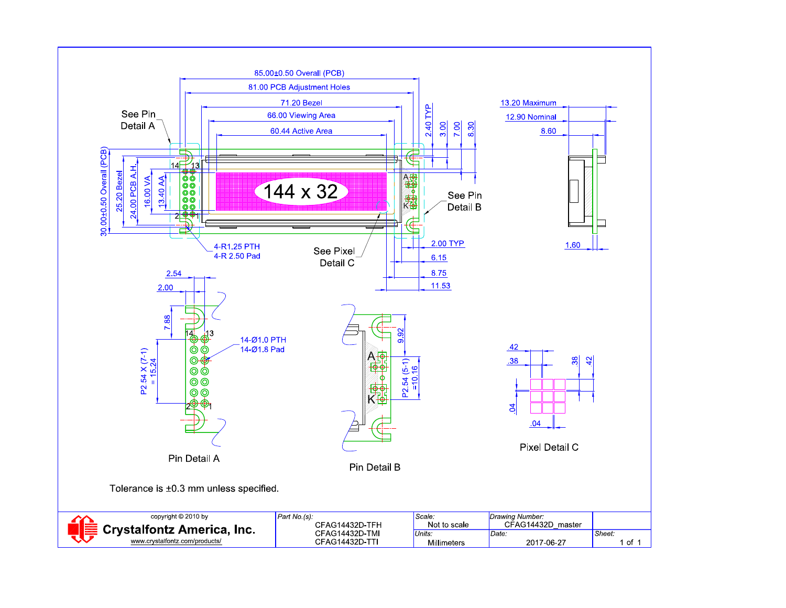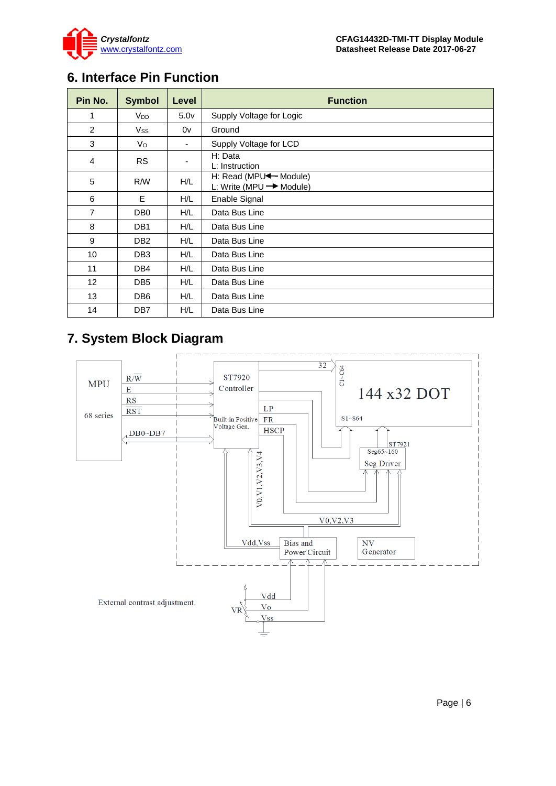

## <span id="page-5-0"></span>**6. Interface Pin Function**

| Pin No.        | <b>Symbol</b>          | Level            | <b>Function</b>                                                          |
|----------------|------------------------|------------------|--------------------------------------------------------------------------|
| 1              | <b>V</b> <sub>DD</sub> | 5.0 <sub>V</sub> | Supply Voltage for Logic                                                 |
| $\overline{2}$ | Vss                    | 0v               | Ground                                                                   |
| 3              | Vo                     | -                | Supply Voltage for LCD                                                   |
| 4              | <b>RS</b>              |                  | H: Data<br>L: Instruction                                                |
| 5              | R/W                    | H/L              | H: Read (MPU <sup>4</sup> Module)<br>L: Write (MPU $\rightarrow$ Module) |
| 6              | E                      | H/L              | Enable Signal                                                            |
| $\overline{7}$ | DB <sub>0</sub>        | H/L              | Data Bus Line                                                            |
| 8              | DB1                    | H/L              | Data Bus Line                                                            |
| 9              | DB <sub>2</sub>        | H/L              | Data Bus Line                                                            |
| 10             | DB <sub>3</sub>        | H/L              | Data Bus Line                                                            |
| 11             | DB4                    | H/L              | Data Bus Line                                                            |
| 12             | DB <sub>5</sub>        | H/L              | Data Bus Line                                                            |
| 13             | DB6                    | H/L              | Data Bus Line                                                            |
| 14             | DB7                    | H/L              | Data Bus Line                                                            |

# <span id="page-5-1"></span>**7. System Block Diagram**

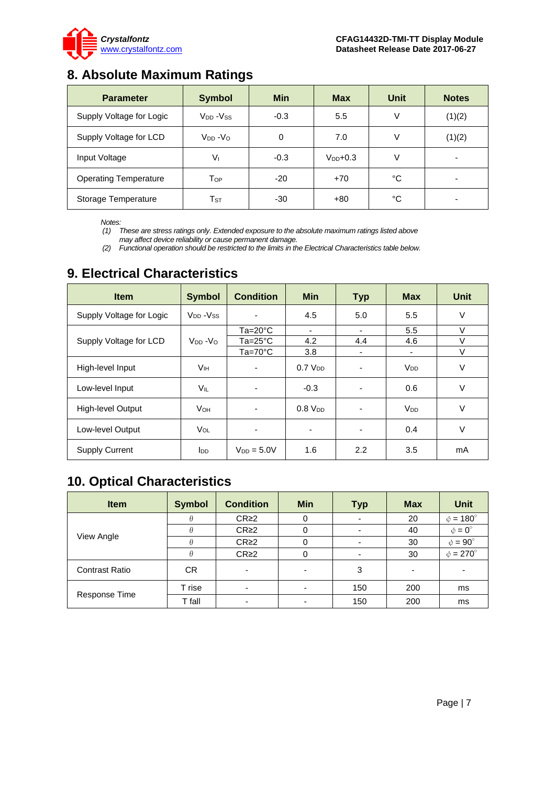

# <span id="page-6-0"></span>**8. Absolute Maximum Ratings**

| <b>Parameter</b>             | <b>Symbol</b>              | <b>Min</b> | <b>Max</b>    | Unit | <b>Notes</b> |
|------------------------------|----------------------------|------------|---------------|------|--------------|
| Supply Voltage for Logic     | $V_{DD} - V_{SS}$          | $-0.3$     | 5.5           | ٧    | (1)(2)       |
| Supply Voltage for LCD       | $V_{DD} - V_{O}$           | 0          | 7.0           | V    | (1)(2)       |
| Input Voltage                | $V_{1}$                    | $-0.3$     | $V_{DD}$ +0.3 | V    | -            |
| <b>Operating Temperature</b> | Top                        | $-20$      | $+70$         | °C   |              |
| Storage Temperature          | $\mathsf{T}_{\texttt{ST}}$ | -30        | $+80$         | °C   |              |

*Notes:*

*(1) These are stress ratings only. Extended exposure to the absolute maximum ratings listed above may affect device reliability or cause permanent damage.* 

*(2) Functional operation should be restricted to the limits in the Electrical Characteristics table below.*

| <b>Item</b>              | <b>Symbol</b>          | <b>Condition</b> | <b>Min</b>          | <b>Typ</b> | <b>Max</b>            | <b>Unit</b> |
|--------------------------|------------------------|------------------|---------------------|------------|-----------------------|-------------|
| Supply Voltage for Logic | $V_{DD} - V_{SS}$      | ٠                | 4.5                 | 5.0        | 5.5                   | $\vee$      |
|                          |                        | $Ta=20^{\circ}C$ | ٠                   | -          | 5.5                   | V           |
| Supply Voltage for LCD   | $V_{DD} - V_{O}$       | Ta=25°C          | 4.2                 | 4.4        | 4.6                   | $\vee$      |
|                          |                        | $Ta=70^{\circ}C$ | 3.8                 | ۰          | -                     | V           |
| High-level Input         | Vıн                    | ٠                | 0.7 V <sub>DD</sub> |            | <b>V<sub>DD</sub></b> | V           |
| Low-level Input          | Vil                    |                  | $-0.3$              |            | 0.6                   | $\vee$      |
| High-level Output        | <b>V</b> он            | ۰                | $0.8$ $V_{DD}$      |            | <b>V<sub>DD</sub></b> | $\vee$      |
| Low-level Output         | VOL                    | ٠                | -                   |            | 0.4                   | $\vee$      |
| <b>Supply Current</b>    | <b>l</b> <sub>DD</sub> | $V_{DD} = 5.0V$  | 1.6                 | 2.2        | 3.5                   | mA          |

### <span id="page-6-1"></span>**9. Electrical Characteristics**

# <span id="page-6-2"></span>**10. Optical Characteristics**

| <b>Item</b>           | <b>Symbol</b> | <b>Condition</b> | <b>Min</b>               | Typ | <b>Max</b> | <b>Unit</b>          |
|-----------------------|---------------|------------------|--------------------------|-----|------------|----------------------|
|                       |               | CR <sub>2</sub>  | 0                        |     | 20         | $\phi = 180^\circ$   |
|                       |               | CR <sub>2</sub>  | 0                        |     | 40         | $\phi = 0^{\circ}$   |
| View Angle            |               | CR <sub>2</sub>  |                          |     | 30         | $\phi = 90^{\circ}$  |
|                       |               | CR <sub>2</sub>  | 0                        |     | 30         | $\phi = 270^{\circ}$ |
| <b>Contrast Ratio</b> | CR.           |                  | $\overline{\phantom{0}}$ | 3   |            |                      |
| Response Time         | T rise        |                  |                          | 150 | 200        | ms                   |
|                       | T fall        |                  |                          | 150 | 200        | ms                   |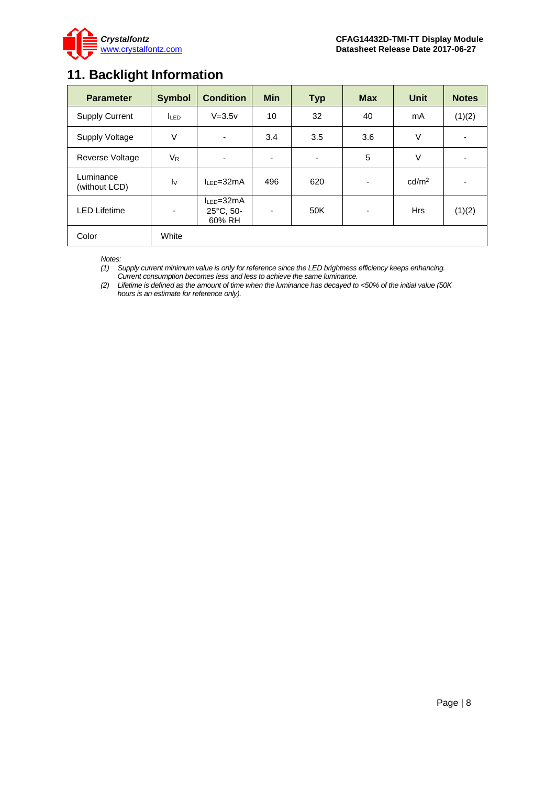

# <span id="page-7-0"></span>**11. Backlight Information**

| <b>Parameter</b>           | <b>Symbol</b>            | <b>Condition</b>                                  | <b>Min</b> | <b>Typ</b> | <b>Max</b>               | <b>Unit</b>       | <b>Notes</b> |
|----------------------------|--------------------------|---------------------------------------------------|------------|------------|--------------------------|-------------------|--------------|
| <b>Supply Current</b>      | <b>LED</b>               | $V = 3.5v$                                        | 10         | 32         | 40                       | mA                | (1)(2)       |
| <b>Supply Voltage</b>      | $\vee$                   | ۰                                                 | 3.4        | 3.5        | 3.6                      | V                 |              |
| <b>Reverse Voltage</b>     | $V_{R}$                  |                                                   | ۰          | ٠          | 5                        | V                 |              |
| Luminance<br>(without LCD) | $\mathsf{I} \vee$        | $h = 32mA$                                        | 496        | 620        | $\overline{\phantom{a}}$ | cd/m <sup>2</sup> |              |
| <b>LED Lifetime</b>        | $\overline{\phantom{a}}$ | $I_{LED} = 32mA$<br>$25^{\circ}$ C, 50-<br>60% RH | ۰          | 50K        | ۰                        | <b>Hrs</b>        | (1)(2)       |
| Color                      | White                    |                                                   |            |            |                          |                   |              |

*Notes:* 

*(1) Supply current minimum value is only for reference since the LED brightness efficiency keeps enhancing. Current consumption becomes less and less to achieve the same luminance.* 

*(2) Lifetime is defined as the amount of time when the luminance has decayed to <50% of the initial value (50K hours is an estimate for reference only).*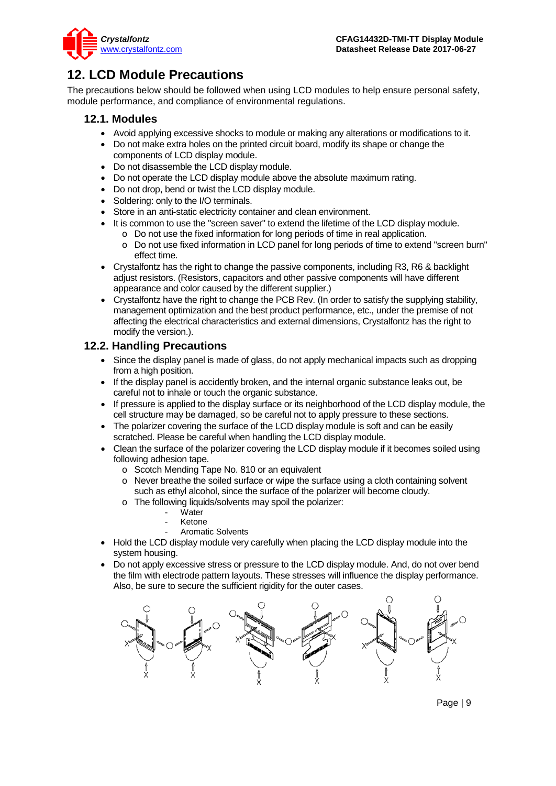

# <span id="page-8-0"></span>**12. LCD Module Precautions**

The precautions below should be followed when using LCD modules to help ensure personal safety, module performance, and compliance of environmental regulations.

### **12.1. Modules**

- Avoid applying excessive shocks to module or making any alterations or modifications to it.
- Do not make extra holes on the printed circuit board, modify its shape or change the components of LCD display module.
- Do not disassemble the LCD display module.
- Do not operate the LCD display module above the absolute maximum rating.
- Do not drop, bend or twist the LCD display module.
- Soldering: only to the I/O terminals.
- Store in an anti-static electricity container and clean environment.
- It is common to use the "screen saver" to extend the lifetime of the LCD display module.
	- o Do not use the fixed information for long periods of time in real application.
	- o Do not use fixed information in LCD panel for long periods of time to extend "screen burn" effect time.
- Crystalfontz has the right to change the passive components, including R3, R6 & backlight adjust resistors. (Resistors, capacitors and other passive components will have different appearance and color caused by the different supplier.)
- Crystalfontz have the right to change the PCB Rev. (In order to satisfy the supplying stability, management optimization and the best product performance, etc., under the premise of not affecting the electrical characteristics and external dimensions, Crystalfontz has the right to modify the version.).

### **12.2. Handling Precautions**

- Since the display panel is made of glass, do not apply mechanical impacts such as dropping from a high position.
- If the display panel is accidently broken, and the internal organic substance leaks out, be careful not to inhale or touch the organic substance.
- If pressure is applied to the display surface or its neighborhood of the LCD display module, the cell structure may be damaged, so be careful not to apply pressure to these sections.
- The polarizer covering the surface of the LCD display module is soft and can be easily scratched. Please be careful when handling the LCD display module.
- Clean the surface of the polarizer covering the LCD display module if it becomes soiled using following adhesion tape.
	- o Scotch Mending Tape No. 810 or an equivalent
	- o Never breathe the soiled surface or wipe the surface using a cloth containing solvent such as ethyl alcohol, since the surface of the polarizer will become cloudy.
	- o The following liquids/solvents may spoil the polarizer:
		- Water
		- **Ketone**
		- Aromatic Solvents
- Hold the LCD display module very carefully when placing the LCD display module into the system housing.
- Do not apply excessive stress or pressure to the LCD display module. And, do not over bend the film with electrode pattern layouts. These stresses will influence the display performance. Also, be sure to secure the sufficient rigidity for the outer cases.

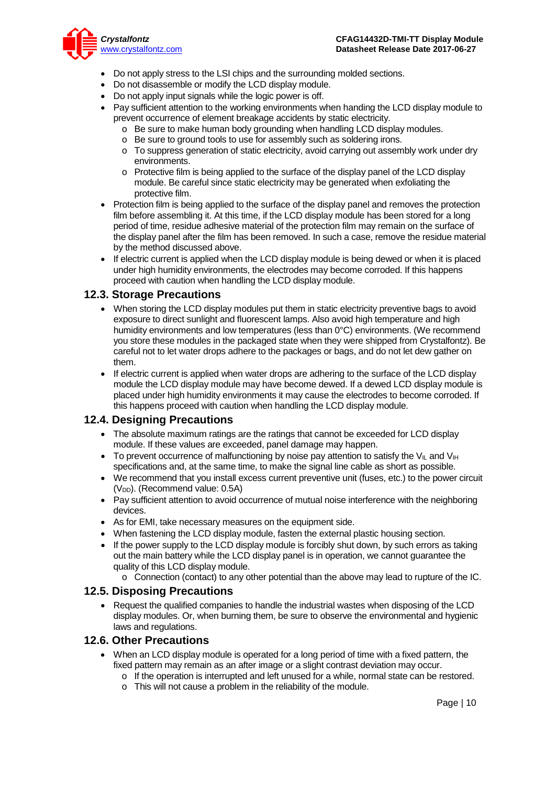

- Do not apply stress to the LSI chips and the surrounding molded sections.
- Do not disassemble or modify the LCD display module.
- Do not apply input signals while the logic power is off.
- Pay sufficient attention to the working environments when handing the LCD display module to prevent occurrence of element breakage accidents by static electricity.
	- o Be sure to make human body grounding when handling LCD display modules.
	- o Be sure to ground tools to use for assembly such as soldering irons.
	- o To suppress generation of static electricity, avoid carrying out assembly work under dry environments.
	- o Protective film is being applied to the surface of the display panel of the LCD display module. Be careful since static electricity may be generated when exfoliating the protective film.
- Protection film is being applied to the surface of the display panel and removes the protection film before assembling it. At this time, if the LCD display module has been stored for a long period of time, residue adhesive material of the protection film may remain on the surface of the display panel after the film has been removed. In such a case, remove the residue material by the method discussed above.
- If electric current is applied when the LCD display module is being dewed or when it is placed under high humidity environments, the electrodes may become corroded. If this happens proceed with caution when handling the LCD display module.

#### **12.3. Storage Precautions**

- When storing the LCD display modules put them in static electricity preventive bags to avoid exposure to direct sunlight and fluorescent lamps. Also avoid high temperature and high humidity environments and low temperatures (less than 0°C) environments. (We recommend you store these modules in the packaged state when they were shipped from Crystalfontz). Be careful not to let water drops adhere to the packages or bags, and do not let dew gather on them.
- If electric current is applied when water drops are adhering to the surface of the LCD display module the LCD display module may have become dewed. If a dewed LCD display module is placed under high humidity environments it may cause the electrodes to become corroded. If this happens proceed with caution when handling the LCD display module.

### **12.4. Designing Precautions**

- The absolute maximum ratings are the ratings that cannot be exceeded for LCD display module. If these values are exceeded, panel damage may happen.
- To prevent occurrence of malfunctioning by noise pay attention to satisfy the V<sub>II</sub> and V<sub>IH</sub> specifications and, at the same time, to make the signal line cable as short as possible.
- We recommend that you install excess current preventive unit (fuses, etc.) to the power circuit (V<sub>DD</sub>). (Recommend value: 0.5A)
- Pay sufficient attention to avoid occurrence of mutual noise interference with the neighboring devices.
- As for EMI, take necessary measures on the equipment side.
- When fastening the LCD display module, fasten the external plastic housing section.
- If the power supply to the LCD display module is forcibly shut down, by such errors as taking out the main battery while the LCD display panel is in operation, we cannot guarantee the quality of this LCD display module.
	- $\circ$  Connection (contact) to any other potential than the above may lead to rupture of the IC.

#### **12.5. Disposing Precautions**

• Request the qualified companies to handle the industrial wastes when disposing of the LCD display modules. Or, when burning them, be sure to observe the environmental and hygienic laws and regulations.

#### **12.6. Other Precautions**

- When an LCD display module is operated for a long period of time with a fixed pattern, the fixed pattern may remain as an after image or a slight contrast deviation may occur.
	- o If the operation is interrupted and left unused for a while, normal state can be restored.
	- o This will not cause a problem in the reliability of the module.